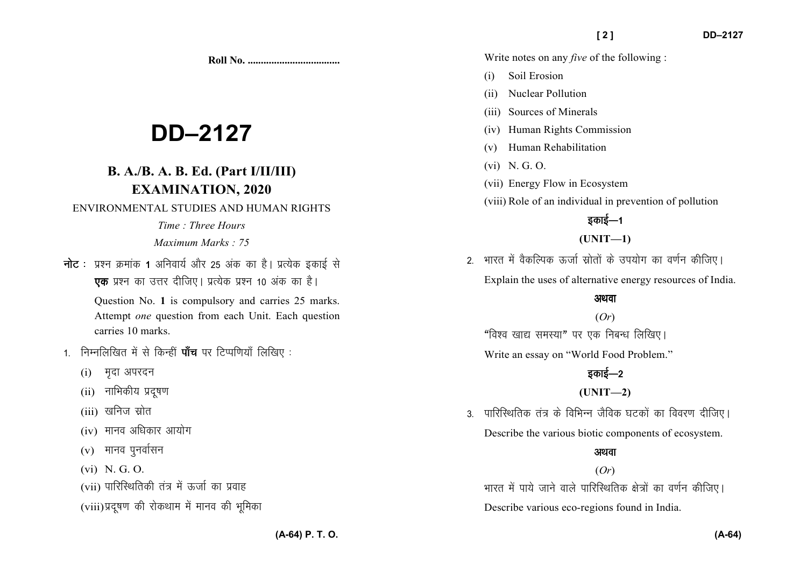**Roll No. ...................................** 

# **DD–2127**

# **B. A./B. A. B. Ed. (Part I/II/III)EXAMINATION, 2020**

#### ENVIRONMENTAL STUDIES AND HUMAN RIGHTS

*Time : Three Hours Maximum Marks : 75*

 $\frac{1}{\pi}$ ट : प्रश्न क्रमांक 1 अनिवार्य और 25 अंक का है। प्रत्येक इकाई से **एक** प्रश्न का उत्तर दीजिए। प्रत्येक प्रश्न 10 अंक का है।

> Question No. **1** is compulsory and carries 25 marks. Attempt *one* question from each Unit. Each question carries 10 marks.

- 1. निम्नलिखित में से किन्हीं **पाँच** पर टिप्पणियाँ लिखिए :
	- (i) मदा अपरदन
	- (ii) नाभिकीय प्रदुषण
	- $(iii)$  खनिज स्रोत
	- $(iv)$  मानव अधिकार आयोग
	- $(v)$  मानव पुनर्वासन
	- (vi) N. G. O.
	- (vii) पारिस्थितिकी तंत्र में ऊर्जा का प्रवाह
	- (viii) प्रदूषण की रोकथाम में मानव की भूमिका

Write notes on any *five* of the following :

- (i) Soil Erosion
- (ii) Nuclear Pollution
- (iii) Sources of Minerals
- (iv) Human Rights Commission
- (v) Human Rehabilitation
- (vi) N. G. O.
- (vii) Energy Flow in Ecosystem
- (viii) Role of an individual in prevention of pollution

## डकाई—1

## **(UNIT—1)**

2 - भारत में वैकल्पिक रूर्जा स्रोतों के उपयोग का वर्णन कीजिए। Explain the uses of alternative energy resources of India.

#### अथवा

(*Or*) "विश्व खाद्य समस्या" पर एक निबन्ध लिखिए।

Write an essay on "World Food Problem."

## डकाई—2

## **(UNIT—2)**

3. पारिस्थितिक तंत्र के विभिन्न जैविक घटकों का विवरण दीजिए। Describe the various biotic components of ecosystem.

## अथवा

## (*Or*)

भारत में पाये जाने वाले पारिस्थितिक क्षेत्रों का वर्णन कीजिए। Describe various eco-regions found in India.